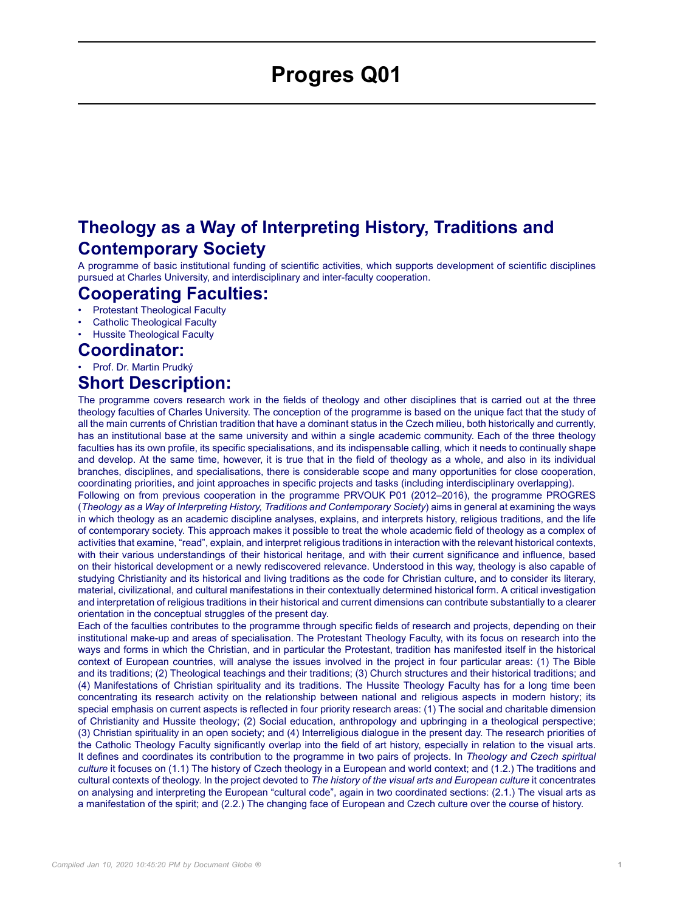## **Progres Q01**

## **Theology as a Way of Interpreting History, Traditions and Contemporary Society**

A programme of basic institutional funding of scientific activities, which supports development of scientific disciplines pursued at Charles University, and interdisciplinary and inter-faculty cooperation.

# **Cooperating Faculties:**<br>• **Protestant Theological Faculty**

- Protestant Theological Faculty
- Catholic Theological Faculty
- Hussite Theological Faculty

#### **Coordinator:**

• Prof. Dr. Martin Prudký

## **Short Description:**

The programme covers research work in the fields of theology and other disciplines that is carried out at the three theology faculties of Charles University. The conception of the programme is based on the unique fact that the study of all the main currents of Christian tradition that have a dominant status in the Czech milieu, both historically and currently, has an institutional base at the same university and within a single academic community. Each of the three theology faculties has its own profile, its specific specialisations, and its indispensable calling, which it needs to continually shape and develop. At the same time, however, it is true that in the field of theology as a whole, and also in its individual branches, disciplines, and specialisations, there is considerable scope and many opportunities for close cooperation, coordinating priorities, and joint approaches in specific projects and tasks (including interdisciplinary overlapping).

Following on from previous cooperation in the programme PRVOUK P01 (2012–2016), the programme PROGRES (*Theology as a Way of Interpreting History, Traditions and Contemporary Society*) aims in general at examining the ways in which theology as an academic discipline analyses, explains, and interprets history, religious traditions, and the life of contemporary society. This approach makes it possible to treat the whole academic field of theology as a complex of activities that examine, "read", explain, and interpret religious traditions in interaction with the relevant historical contexts, with their various understandings of their historical heritage, and with their current significance and influence, based on their historical development or a newly rediscovered relevance. Understood in this way, theology is also capable of studying Christianity and its historical and living traditions as the code for Christian culture, and to consider its literary, material, civilizational, and cultural manifestations in their contextually determined historical form. A critical investigation and interpretation of religious traditions in their historical and current dimensions can contribute substantially to a clearer orientation in the conceptual struggles of the present day.

Each of the faculties contributes to the programme through specific fields of research and projects, depending on their institutional make-up and areas of specialisation. The Protestant Theology Faculty, with its focus on research into the ways and forms in which the Christian, and in particular the Protestant, tradition has manifested itself in the historical context of European countries, will analyse the issues involved in the project in four particular areas: (1) The Bible and its traditions; (2) Theological teachings and their traditions; (3) Church structures and their historical traditions; and (4) Manifestations of Christian spirituality and its traditions. The Hussite Theology Faculty has for a long time been concentrating its research activity on the relationship between national and religious aspects in modern history; its special emphasis on current aspects is reflected in four priority research areas: (1) The social and charitable dimension of Christianity and Hussite theology; (2) Social education, anthropology and upbringing in a theological perspective; (3) Christian spirituality in an open society; and (4) Interreligious dialogue in the present day. The research priorities of the Catholic Theology Faculty significantly overlap into the field of art history, especially in relation to the visual arts. It defines and coordinates its contribution to the programme in two pairs of projects. In *Theology and Czech spiritual culture* it focuses on (1.1) The history of Czech theology in a European and world context; and (1.2.) The traditions and cultural contexts of theology. In the project devoted to *The history of the visual arts and European culture* it concentrates on analysing and interpreting the European "cultural code", again in two coordinated sections: (2.1.) The visual arts as a manifestation of the spirit; and (2.2.) The changing face of European and Czech culture over the course of history.